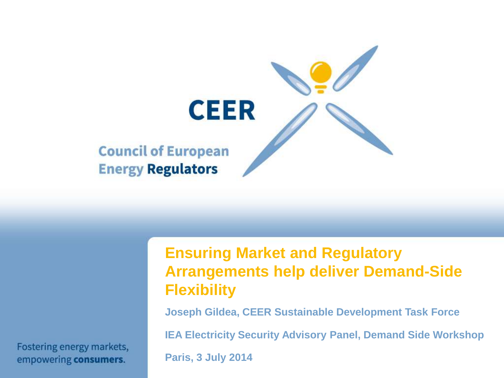

Fostering energy markets, empowering consumers.

#### **Ensuring Market and Regulatory Arrangements help deliver Demand-Side Flexibility**

**Joseph Gildea, CEER Sustainable Development Task Force**

**IEA Electricity Security Advisory Panel, Demand Side Workshop**

**Paris, 3 July 2014**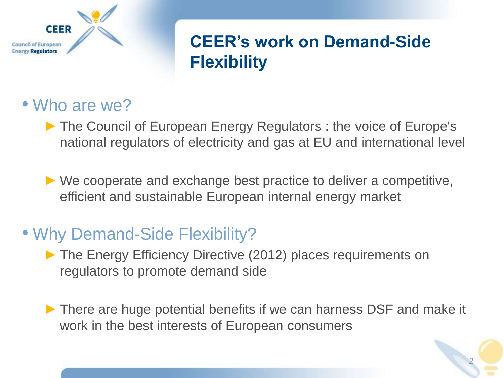

# **CEER's work on Demand-Side Flexibility**

#### • Who are we?

► The Council of European Energy Regulators : the voice of Europe's national regulators of electricity and gas at EU and international level

 $\triangleright$  We cooperate and exchange best practice to deliver a competitive, efficient and sustainable European internal energy market

# • Why Demand-Side Flexibility?

- ► The Energy Efficiency Directive (2012) places requirements on regulators to promote demand side
- ► There are huge potential benefits if we can harness DSF and make it work in the best interests of European consumers

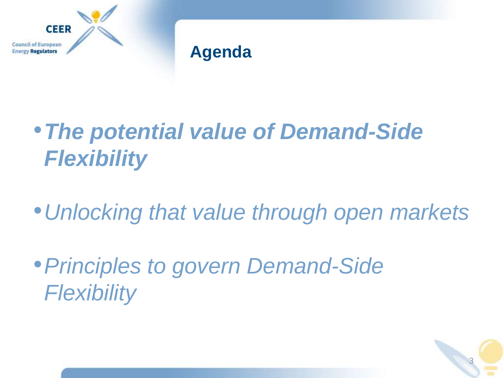

#### **Agenda**

# •*The potential value of Demand-Side Flexibility*

•*Unlocking that value through open markets*

3

•*Principles to govern Demand-Side Flexibility*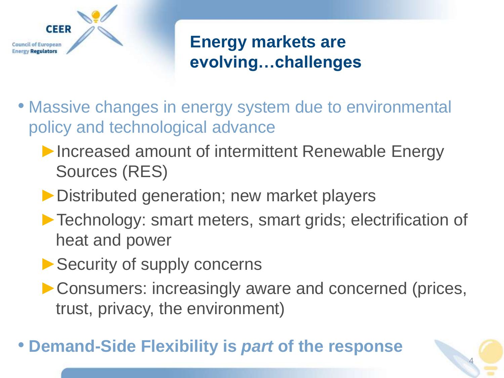

# **Energy markets are evolving…challenges**

- Massive changes in energy system due to environmental policy and technological advance
	- ▶Increased amount of intermittent Renewable Energy Sources (RES)
	- ▶ Distributed generation; new market players
	- ▶ Technology: smart meters, smart grids; electrification of heat and power
	- ▶ Security of supply concerns
	- ►Consumers: increasingly aware and concerned (prices, trust, privacy, the environment)

4

# • **Demand-Side Flexibility is** *part* **of the response**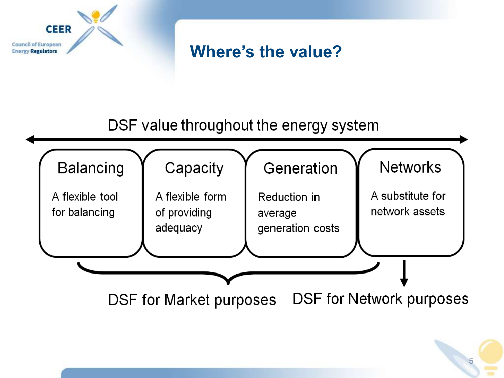

# **Where's the value?**

#### DSF value throughout the energy system

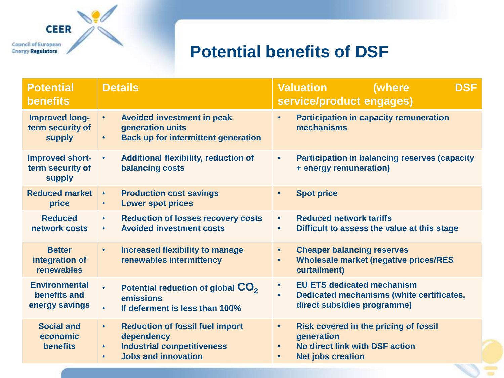**CEER Council of European** 

#### **Energy Regulators**

### **Potential benefits of DSF**

| <b>Potential</b><br><b>benefits</b>                        | <b>Details</b>                                                                                                                                                 | <b>Valuation</b><br>(where<br><b>DSF</b><br>service/product engages)                                                                               |
|------------------------------------------------------------|----------------------------------------------------------------------------------------------------------------------------------------------------------------|----------------------------------------------------------------------------------------------------------------------------------------------------|
| <b>Improved long-</b><br>term security of<br><b>supply</b> | <b>Avoided investment in peak</b><br>$\bullet$<br>generation units<br><b>Back up for intermittent generation</b><br>$\bullet$                                  | <b>Participation in capacity remuneration</b><br>$\bullet$<br>mechanisms                                                                           |
| <b>Improved short-</b><br>term security of<br>supply       | <b>Additional flexibility, reduction of</b><br>$\bullet$<br><b>balancing costs</b>                                                                             | <b>Participation in balancing reserves (capacity</b><br>$\bullet$<br>+ energy remuneration)                                                        |
| <b>Reduced market</b><br>price                             | <b>Production cost savings</b><br>$\bullet$<br><b>Lower spot prices</b><br>$\bullet$                                                                           | <b>Spot price</b><br>$\bullet$                                                                                                                     |
| <b>Reduced</b><br>network costs                            | <b>Reduction of losses recovery costs</b><br>$\bullet$<br><b>Avoided investment costs</b><br>$\bullet$                                                         | <b>Reduced network tariffs</b><br>$\bullet$<br>Difficult to assess the value at this stage<br>$\bullet$                                            |
| <b>Better</b><br>integration of<br>renewables              | <b>Increased flexibility to manage</b><br>$\bullet$<br>renewables intermittency                                                                                | <b>Cheaper balancing reserves</b><br>$\bullet$<br><b>Wholesale market (negative prices/RES</b><br>$\bullet$<br>curtailment)                        |
| <b>Environmental</b><br>benefits and<br>energy savings     | Potential reduction of global CO <sub>2</sub><br>$\bullet$<br>emissions<br>If deferment is less than 100%<br>$\bullet$                                         | <b>EU ETS dedicated mechanism</b><br>$\bullet$<br>Dedicated mechanisms (white certificates,<br>$\bullet$<br>direct subsidies programme)            |
| <b>Social and</b><br>economic<br><b>benefits</b>           | <b>Reduction of fossil fuel import</b><br>$\bullet$<br>dependency<br><b>Industrial competitiveness</b><br>$\bullet$<br><b>Jobs and innovation</b><br>$\bullet$ | <b>Risk covered in the pricing of fossil</b><br>$\bullet$<br>generation<br>No direct link with DSF action<br><b>Net jobs creation</b><br>$\bullet$ |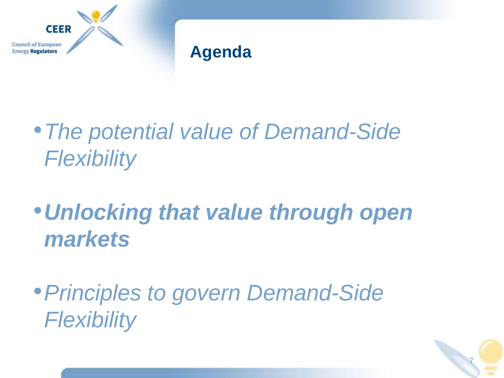

#### **Agenda**

•*The potential value of Demand-Side Flexibility*

•*Unlocking that value through open markets*

•*Principles to govern Demand-Side Flexibility*

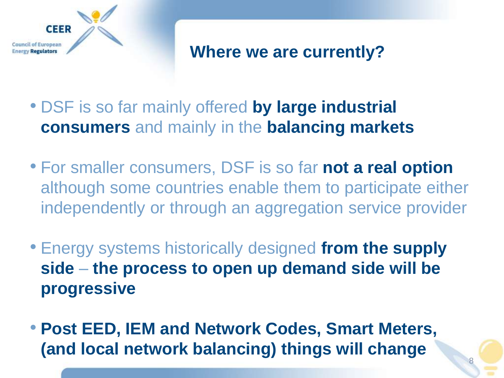

#### **Where we are currently?**

- DSF is so far mainly offered **by large industrial consumers** and mainly in the **balancing markets**
- For smaller consumers, DSF is so far **not a real option** although some countries enable them to participate either independently or through an aggregation service provider
- Energy systems historically designed **from the supply side** – **the process to open up demand side will be progressive**
- **Post EED, IEM and Network Codes, Smart Meters, (and local network balancing) things will change**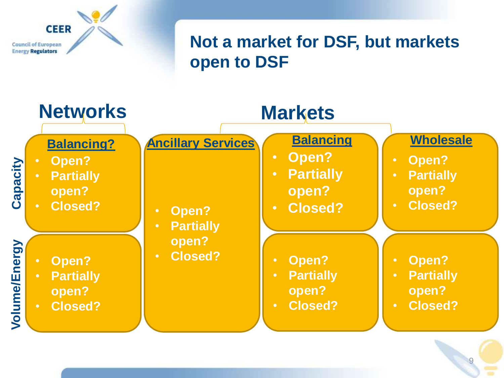

# **Not a market for DSF, but markets open to DSF**

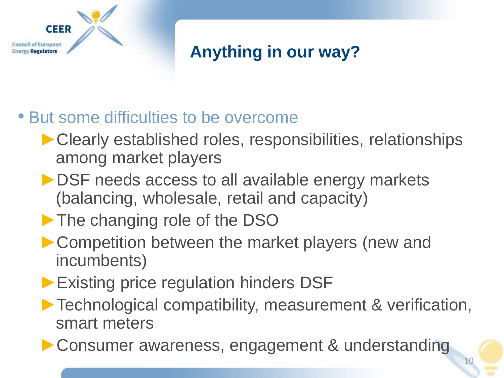

# **Anything in our way?**

# • But some difficulties to be overcome

- ▶ Clearly established roles, responsibilities, relationships among market players
- ▶ DSF needs access to all available energy markets (balancing, wholesale, retail and capacity)
- ▶ The changing role of the DSO
- ► Competition between the market players (new and incumbents)
- ▶ Existing price regulation hinders DSF
- ►Technological compatibility, measurement & verification, smart meters

10

► Consumer awareness, engagement & understanding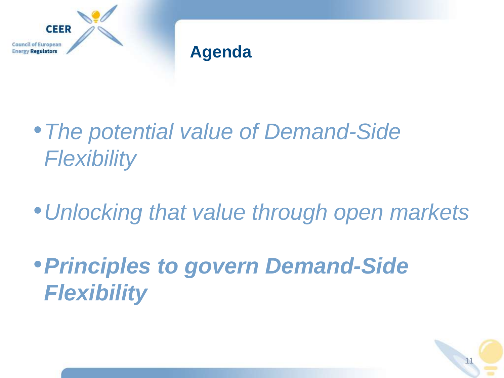

#### **Agenda**

•*The potential value of Demand-Side Flexibility*

•*Unlocking that value through open markets*

•*Principles to govern Demand-Side Flexibility*

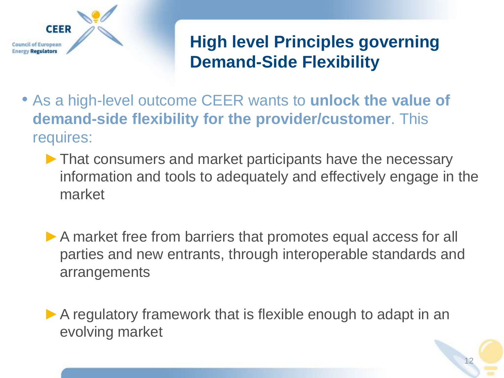

# **High level Principles governing Demand-Side Flexibility**

- As a high-level outcome CEER wants to **unlock the value of demand-side flexibility for the provider/customer**. This requires:
	- ▶ That consumers and market participants have the necessary information and tools to adequately and effectively engage in the market
	- ▶ A market free from barriers that promotes equal access for all parties and new entrants, through interoperable standards and arrangements
	- ▶ A regulatory framework that is flexible enough to adapt in an evolving market

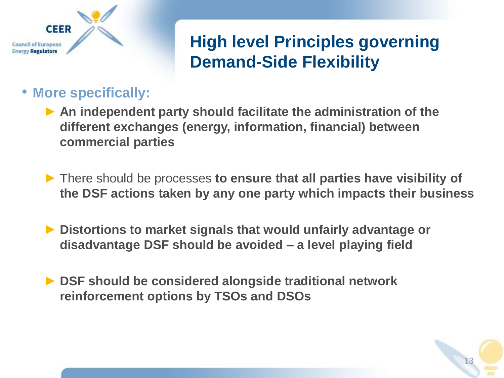

# **High level Principles governing Demand-Side Flexibility**

#### • **More specifically:**

- ► **An independent party should facilitate the administration of the different exchanges (energy, information, financial) between commercial parties**
- ► There should be processes **to ensure that all parties have visibility of the DSF actions taken by any one party which impacts their business**
- ► **Distortions to market signals that would unfairly advantage or disadvantage DSF should be avoided – a level playing field**
- ► **DSF should be considered alongside traditional network reinforcement options by TSOs and DSOs**

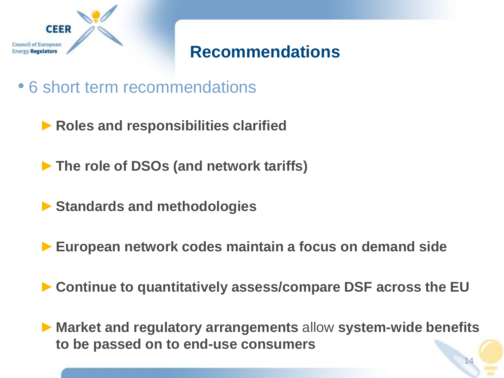

#### **Recommendations**

- 6 short term recommendations
	- ►**Roles and responsibilities clarified**
	- ►**The role of DSOs (and network tariffs)**
	- ►**Standards and methodologies**
	- ►**European network codes maintain a focus on demand side**
	- ►**Continue to quantitatively assess/compare DSF across the EU**
	- ►**Market and regulatory arrangements** allow **system-wide benefits to be passed on to end-use consumers**